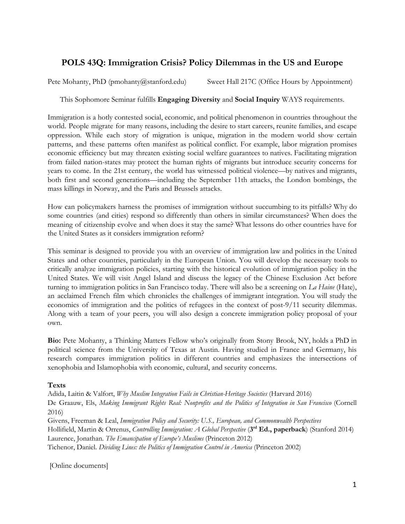# **POLS 43Q: Immigration Crisis? Policy Dilemmas in the US and Europe**

Pete Mohanty, PhD (pmohanty@stanford.edu) Sweet Hall 217C (Office Hours by Appointment)

This Sophomore Seminar fulfills **Engaging Diversity** and **Social Inquiry** WAYS requirements.

Immigration is a hotly contested social, economic, and political phenomenon in countries throughout the world. People migrate for many reasons, including the desire to start careers, reunite families, and escape oppression. While each story of migration is unique, migration in the modern world show certain patterns, and these patterns often manifest as political conflict. For example, labor migration promises economic efficiency but may threaten existing social welfare guarantees to natives. Facilitating migration from failed nation-states may protect the human rights of migrants but introduce security concerns for years to come. In the 21st century, the world has witnessed political violence—by natives and migrants, both first and second generations—including the September 11th attacks, the London bombings, the mass killings in Norway, and the Paris and Brussels attacks.

How can policymakers harness the promises of immigration without succumbing to its pitfalls? Why do some countries (and cities) respond so differently than others in similar circumstances? When does the meaning of citizenship evolve and when does it stay the same? What lessons do other countries have for the United States as it considers immigration reform?

This seminar is designed to provide you with an overview of immigration law and politics in the United States and other countries, particularly in the European Union. You will develop the necessary tools to critically analyze immigration policies, starting with the historical evolution of immigration policy in the United States. We will visit Angel Island and discuss the legacy of the Chinese Exclusion Act before turning to immigration politics in San Francisco today. There will also be a screening on *La Haine* (Hate), an acclaimed French film which chronicles the challenges of immigrant integration. You will study the economics of immigration and the politics of refugees in the context of post-9/11 security dilemmas. Along with a team of your peers, you will also design a concrete immigration policy proposal of your own.

**Bio:** Pete Mohanty, a Thinking Matters Fellow who's originally from Stony Brook, NY, holds a PhD in political science from the University of Texas at Austin. Having studied in France and Germany, his research compares immigration politics in different countries and emphasizes the intersections of xenophobia and Islamophobia with economic, cultural, and security concerns.

# **Texts**

Adida, Laitin & Valfort, *Why Muslim Integration Fails in Christian-Heritage Societies* (Harvard 2016) De Graauw, Els, *Making Immigrant Rights Real: Nonprofits and the Politics of Integration in San Francisco* (Cornell 2016) Givens, Freeman & Leal, *Immigration Policy and Security: U.S., European, and Commonwealth Perspectives* Hollifield, Martin & Orrenus, *Controlling Immigration: A Global Perspective* (**3 rd Ed., paperback**) (Stanford 2014) Laurence, Jonathan. *The Emancipation of Europe's Muslims* (Princeton 2012) Tichenor, Daniel. *Dividing Lines: the Politics of Immigration Control in America* (Princeton 2002)

[Online documents]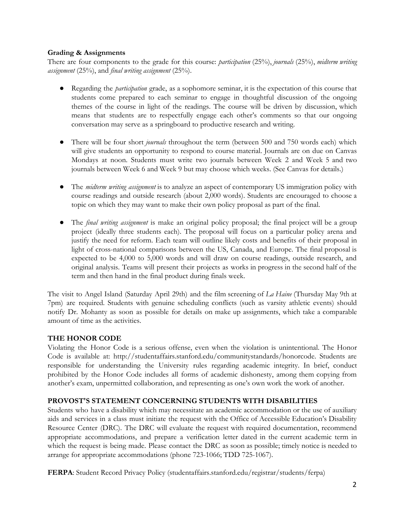# **Grading & Assignments**

There are four components to the grade for this course: *participation* (25%), *journals* (25%), *midterm writing assignment* (25%), and *final writing assignment* (25%).

- Regarding the *participation* grade, as a sophomore seminar, it is the expectation of this course that students come prepared to each seminar to engage in thoughtful discussion of the ongoing themes of the course in light of the readings. The course will be driven by discussion, which means that students are to respectfully engage each other's comments so that our ongoing conversation may serve as a springboard to productive research and writing.
- There will be four short *journals* throughout the term (between 500 and 750 words each) which will give students an opportunity to respond to course material. Journals are on due on Canvas Mondays at noon. Students must write two journals between Week 2 and Week 5 and two journals between Week 6 and Week 9 but may choose which weeks. (See Canvas for details.)
- The *midterm writing assignment* is to analyze an aspect of contemporary US immigration policy with course readings and outside research (about 2,000 words). Students are encouraged to choose a topic on which they may want to make their own policy proposal as part of the final.
- The *final writing assignment* is make an original policy proposal; the final project will be a group project (ideally three students each). The proposal will focus on a particular policy arena and justify the need for reform. Each team will outline likely costs and benefits of their proposal in light of cross-national comparisons between the US, Canada, and Europe. The final proposal is expected to be 4,000 to 5,000 words and will draw on course readings, outside research, and original analysis. Teams will present their projects as works in progress in the second half of the term and then hand in the final product during finals week.

The visit to Angel Island (Saturday April 29th) and the film screening of *La Haine* (Thursday May 9th at 7pm) are required. Students with genuine scheduling conflicts (such as varsity athletic events) should notify Dr. Mohanty as soon as possible for details on make up assignments, which take a comparable amount of time as the activities.

# **THE HONOR CODE**

Violating the Honor Code is a serious offense, even when the violation is unintentional. The Honor Code is available at: http://studentaffairs.stanford.edu/communitystandards/honorcode. Students are responsible for understanding the University rules regarding academic integrity. In brief, conduct prohibited by the Honor Code includes all forms of academic dishonesty, among them copying from another's exam, unpermitted collaboration, and representing as one's own work the work of another.

# **PROVOST'S STATEMENT CONCERNING STUDENTS WITH DISABILITIES**

Students who have a disability which may necessitate an academic accommodation or the use of auxiliary aids and services in a class must initiate the request with the Office of Accessible Education's Disability Resource Center (DRC). The DRC will evaluate the request with required documentation, recommend appropriate accommodations, and prepare a verification letter dated in the current academic term in which the request is being made. Please contact the DRC as soon as possible; timely notice is needed to arrange for appropriate accommodations (phone 723-1066; TDD 725-1067).

**FERPA**: Student Record Privacy Policy (studentaffairs.stanford.edu/registrar/students/ferpa)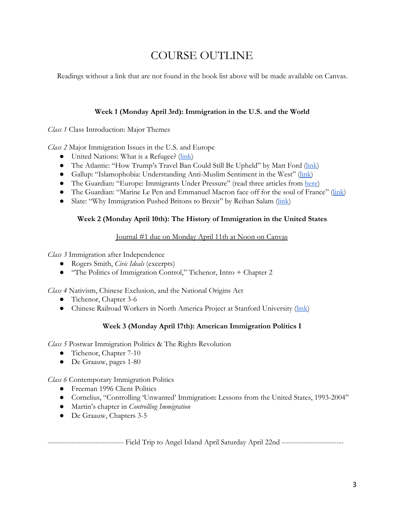# COURSE OUTLINE

Readings without a link that are not found in the book list above will be made available on Canvas.

#### **Week 1 (Monday April 3rd): Immigration in the U.S. and the World**

*Class 1* Class Introduction: Major Themes

*Class 2* Major Immigration Issues in the U.S. and Europe

- United Nations: What is a Refugee? [\(link\)](http://www.unrefugees.org/what-is-a-refugee/)
- The Atlantic: "How Trump's Travel Ban Could Still Be Upheld" by Matt Ford ([link\)](https://www.theatlantic.com/politics/archive/2017/03/how-trumps-travel-ban-could-be-upheld/520995/)
- Gallup: "Islamophobia: Understanding Anti-Muslim Sentiment in the West" [\(link](http://www.gallup.com/poll/157082/islamophobia-understanding-anti-muslim-sentiment-west.aspx))
- The Guardian: "Europe: Immigrants Under Pressure" (read three articles from [here\)](https://www.theguardian.com/world/series/europe-immigrants-under-pressure)
- The Guardian: "Marine Le Pen and Emmanuel Macron face off for the soul of France" [\(link](https://www.theguardian.com/world/2017/mar/26/marine-le-pen-emmanuel-macron-french-elections))
- Slate: "Why Immigration Pushed Britons to Brexit" by Reihan Salam [\(link\)](http://www.slate.com/articles/news_and_politics/politics/2016/06/immigration_and_brexit_how_a_rising_tide_of_european_immigrants_fueled_the.html)

#### **Week 2 (Monday April 10th): The History of Immigration in the United States**

# Journal #1 due on Monday April 11th at Noon on Canvas

*Class 3* Immigration after Independence

- Rogers Smith, *Civic Ideals* (excerpts)
- "The Politics of Immigration Control," Tichenor, Intro + Chapter 2

*Class 4* Nativism, Chinese Exclusion, and the National Origins Act

- Tichenor, Chapter 3-6
- Chinese Railroad Workers in North America Project at Stanford University [\(link\)](http://web.stanford.edu/group/chineserailroad/cgi-bin/wordpress/)

# **Week 3 (Monday April 17th): American Immigration Politics I**

*Class 5* Postwar Immigration Politics & The Rights Revolution

- Tichenor, Chapter 7-10
- De Graauw, pages 1-80

*Class 6* Contemporary Immigration Politics

- Freeman 1996 Client Politics
- Cornelius, "Controlling 'Unwanted' Immigration: Lessons from the United States, 1993-2004"
- *●* Martin's chapter in *Controlling Immigration*
- *●* De Graauw, Chapters 3-5

-------------------------------- Field Trip to Angel Island April Saturday April 22nd --------------------------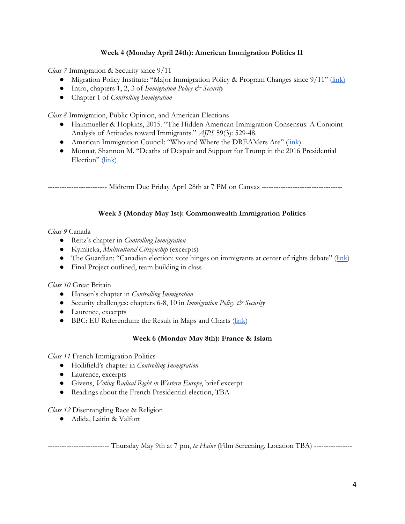# **Week 4 (Monday April 24th): American Immigration Politics II**

*Class 7* Immigration & Security since 9/11

- Migration Policy Institute: "Major Immigration Policy & Program Changes since 9/11" [\(link\)](http://www.migrationpolicy.org/research/post-9-11-immigration-policy-program-changes)
- *●* Intro, chapters 1, 2, 3 of *Immigration Policy & Security*
- *●* Chapter 1 of *Controlling Immigration*

*Class 8* Immigration, Public Opinion, and American Elections

- Hainmueller & Hopkins, 2015. "The Hidden American Immigration Consensus: A Conjoint Analysis of Attitudes toward Immigrants." *AJPS* 59(3): 529-48.
- American Immigration Council: "Who and Where the DREAMers Are" [\(link](https://www.americanimmigrationcouncil.org/research/who-and-where-dreamers-are-revised-estimates))
- Monnat, Shannon M. "Deaths of Despair and Support for Trump in the 2016 Presidential Election" ([link\)](http://aese.psu.edu/directory/smm67/Election16.pdf)

------------------------- Midterm Due Friday April 28th at 7 PM on Canvas ----------------------------------

# **Week 5 (Monday May 1st): Commonwealth Immigration Politics**

#### *Class 9* Canada

- Reitz's chapter in *Controlling Immigration*
- Kymlicka, *Multicultural Citizenship* (excerpts)
- The Guardian: "Canadian election: vote hinges on immigrants at center of rights debate" [\(link\)](https://www.theguardian.com/world/2015/oct/13/canadia-election-immigrants-stephen-harper)
- Final Project outlined, team building in class

#### *Class 10* Great Britain

- *●* Hansen's chapter in *Controlling Immigration*
- *●* Security challenges: chapters 6-8, 10 in *Immigration Policy & Security*
- Laurence, excerpts
- BBC: EU Referendum: the Result in Maps and Charts [\(link](http://www.bbc.com/news/uk-politics-36616028))

# **Week 6 (Monday May 8th): France & Islam**

*Class 11* French Immigration Politics

- *●* Hollifield's chapter in *Controlling Immigration*
- Laurence, excerpts
- Givens, *Voting Radical Right in Western Europe*, brief excerpt
- Readings about the French Presidential election, TBA

*Class 12* Disentangling Race & Religion

● Adida, Laitin & Valfort

-------------------------- Thursday May 9th at 7 pm, *la Haine* (Film Screening, Location TBA) ----------------